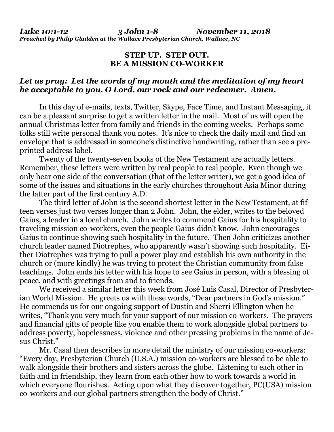## **STEP UP. STEP OUT. BE A MISSION CO-WORKER**

## *Let us pray: Let the words of my mouth and the meditation of my heart be acceptable to you, O Lord, our rock and our redeemer. Amen.*

In this day of e-mails, texts, Twitter, Skype, Face Time, and Instant Messaging, it can be a pleasant surprise to get a written letter in the mail. Most of us will open the annual Christmas letter from family and friends in the coming weeks. Perhaps some folks still write personal thank you notes. It's nice to check the daily mail and find an envelope that is addressed in someone's distinctive handwriting, rather than see a preprinted address label.

Twenty of the twenty-seven books of the New Testament are actually letters. Remember, these letters were written by real people to real people. Even though we only hear one side of the conversation (that of the letter writer), we get a good idea of some of the issues and situations in the early churches throughout Asia Minor during the latter part of the first century A.D.

The third letter of John is the second shortest letter in the New Testament, at fifteen verses just two verses longer than 2 John. John, the elder, writes to the beloved Gaius, a leader in a local church. John writes to commend Gaius for his hospitality to traveling mission co-workers, even the people Gaius didn't know. John encourages Gaius to continue showing such hospitality in the future. Then John criticizes another church leader named Diotrephes, who apparently wasn't showing such hospitality. Either Diotrephes was trying to pull a power play and establish his own authority in the church or (more kindly) he was trying to protect the Christian community from false teachings. John ends his letter with his hope to see Gaius in person, with a blessing of peace, and with greetings from and to friends.

We received a similar letter this week from José Luis Casal, Director of Presbyterian World Mission. He greets us with these words, "Dear partners in God's mission." He commends us for our ongoing support of Dustin and Sherri Ellington when he writes, "Thank you very much for your support of our mission co-workers. The prayers and financial gifts of people like you enable them to work alongside global partners to address poverty, hopelessness, violence and other pressing problems in the name of Jesus Christ."

Mr. Casal then describes in more detail the ministry of our mission co-workers: "Every day, Presbyterian Church (U.S.A.) mission co-workers are blessed to be able to walk alongside their brothers and sisters across the globe. Listening to each other in faith and in friendship, they learn from each other how to work towards a world in which everyone flourishes. Acting upon what they discover together, PC(USA) mission co-workers and our global partners strengthen the body of Christ."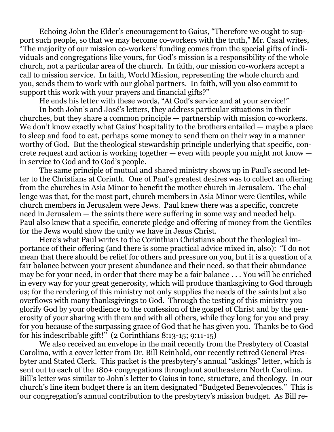Echoing John the Elder's encouragement to Gaius, "Therefore we ought to support such people, so that we may become co-workers with the truth," Mr. Casal writes, "The majority of our mission co-workers' funding comes from the special gifts of individuals and congregations like yours, for God's mission is a responsibility of the whole church, not a particular area of the church. In faith, our mission co-workers accept a call to mission service. In faith, World Mission, representing the whole church and you, sends them to work with our global partners. In faith, will you also commit to support this work with your prayers and financial gifts?"

He ends his letter with these words, "At God's service and at your service!"

In both John's and José's letters, they address particular situations in their churches, but they share a common principle — partnership with mission co-workers. We don't know exactly what Gaius' hospitality to the brothers entailed — maybe a place to sleep and food to eat, perhaps some money to send them on their way in a manner worthy of God. But the theological stewardship principle underlying that specific, concrete request and action is working together — even with people you might not know in service to God and to God's people.

The same principle of mutual and shared ministry shows up in Paul's second letter to the Christians at Corinth. One of Paul's greatest desires was to collect an offering from the churches in Asia Minor to benefit the mother church in Jerusalem. The challenge was that, for the most part, church members in Asia Minor were Gentiles, while church members in Jerusalem were Jews. Paul knew there was a specific, concrete need in Jerusalem — the saints there were suffering in some way and needed help. Paul also knew that a specific, concrete pledge and offering of money from the Gentiles for the Jews would show the unity we have in Jesus Christ.

Here's what Paul writes to the Corinthian Christians about the theological importance of their offering (and there is some practical advice mixed in, also): "I do not mean that there should be relief for others and pressure on you, but it is a question of a fair balance between your present abundance and their need, so that their abundance may be for your need, in order that there may be a fair balance . . . You will be enriched in every way for your great generosity, which will produce thanksgiving to God through us; for the rendering of this ministry not only supplies the needs of the saints but also overflows with many thanksgivings to God. Through the testing of this ministry you glorify God by your obedience to the confession of the gospel of Christ and by the generosity of your sharing with them and with all others, while they long for you and pray for you because of the surpassing grace of God that he has given you. Thanks be to God for his indescribable gift!" (2 Corinthians 8:13-15; 9:11-15)

We also received an envelope in the mail recently from the Presbytery of Coastal Carolina, with a cover letter from Dr. Bill Reinhold, our recently retired General Presbyter and Stated Clerk. This packet is the presbytery's annual "askings" letter, which is sent out to each of the 180+ congregations throughout southeastern North Carolina. Bill's letter was similar to John's letter to Gaius in tone, structure, and theology. In our church's line item budget there is an item designated "Budgeted Benevolences." This is our congregation's annual contribution to the presbytery's mission budget. As Bill re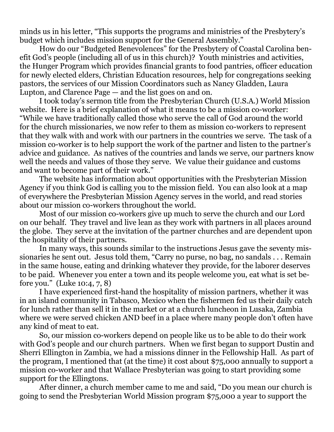minds us in his letter, "This supports the programs and ministries of the Presbytery's budget which includes mission support for the General Assembly."

How do our "Budgeted Benevolences" for the Presbytery of Coastal Carolina benefit God's people (including all of us in this church)? Youth ministries and activities, the Hunger Program which provides financial grants to food pantries, officer education for newly elected elders, Christian Education resources, help for congregations seeking pastors, the services of our Mission Coordinators such as Nancy Gladden, Laura Lupton, and Clarence Page — and the list goes on and on.

I took today's sermon title from the Presbyterian Church (U.S.A.) World Mission website. Here is a brief explanation of what it means to be a mission co-worker: "While we have traditionally called those who serve the call of God around the world for the church missionaries, we now refer to them as mission co-workers to represent that they walk with and work with our partners in the countries we serve. The task of a mission co-worker is to help support the work of the partner and listen to the partner's advice and guidance. As natives of the countries and lands we serve, our partners know well the needs and values of those they serve. We value their guidance and customs and want to become part of their work."

The website has information about opportunities with the Presbyterian Mission Agency if you think God is calling you to the mission field. You can also look at a map of everywhere the Presbyterian Mission Agency serves in the world, and read stories about our mission co-workers throughout the world.

Most of our mission co-workers give up much to serve the church and our Lord on our behalf. They travel and live lean as they work with partners in all places around the globe. They serve at the invitation of the partner churches and are dependent upon the hospitality of their partners.

In many ways, this sounds similar to the instructions Jesus gave the seventy missionaries he sent out. Jesus told them, "Carry no purse, no bag, no sandals . . . Remain in the same house, eating and drinking whatever they provide, for the laborer deserves to be paid. Whenever you enter a town and its people welcome you, eat what is set before you." (Luke 10:4, 7, 8)

I have experienced first-hand the hospitality of mission partners, whether it was in an island community in Tabasco, Mexico when the fishermen fed us their daily catch for lunch rather than sell it in the market or at a church luncheon in Lusaka, Zambia where we were served chicken AND beef in a place where many people don't often have any kind of meat to eat.

So, our mission co-workers depend on people like us to be able to do their work with God's people and our church partners. When we first began to support Dustin and Sherri Ellington in Zambia, we had a missions dinner in the Fellowship Hall. As part of the program, I mentioned that (at the time) it cost about \$75,000 annually to support a mission co-worker and that Wallace Presbyterian was going to start providing some support for the Ellingtons.

After dinner, a church member came to me and said, "Do you mean our church is going to send the Presbyterian World Mission program \$75,000 a year to support the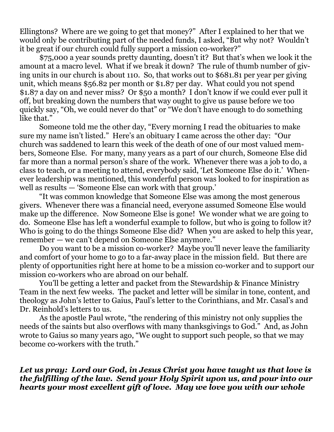Ellingtons? Where are we going to get that money?" After I explained to her that we would only be contributing part of the needed funds, I asked, "But why not? Wouldn't it be great if our church could fully support a mission co-worker?"

\$75,000 a year sounds pretty daunting, doesn't it? But that's when we look it the amount at a macro level. What if we break it down? The rule of thumb number of giving units in our church is about 110. So, that works out to \$681.81 per year per giving unit, which means \$56.82 per month or \$1.87 per day. What could you not spend \$1.87 a day on and never miss? Or \$50 a month? I don't know if we could ever pull it off, but breaking down the numbers that way ought to give us pause before we too quickly say, "Oh, we could never do that" or "We don't have enough to do something like that."

Someone told me the other day, "Every morning I read the obituaries to make sure my name isn't listed." Here's an obituary I came across the other day: "Our church was saddened to learn this week of the death of one of our most valued members, Someone Else. For many, many years as a part of our church, Someone Else did far more than a normal person's share of the work. Whenever there was a job to do, a class to teach, or a meeting to attend, everybody said, 'Let Someone Else do it.' Whenever leadership was mentioned, this wonderful person was looked to for inspiration as well as results — 'Someone Else can work with that group.'

"It was common knowledge that Someone Else was among the most generous givers. Whenever there was a financial need, everyone assumed Someone Else would make up the difference. Now Someone Else is gone! We wonder what we are going to do. Someone Else has left a wonderful example to follow, but who is going to follow it? Who is going to do the things Someone Else did? When you are asked to help this year, remember — we can't depend on Someone Else anymore."

Do you want to be a mission co-worker? Maybe you'll never leave the familiarity and comfort of your home to go to a far-away place in the mission field. But there are plenty of opportunities right here at home to be a mission co-worker and to support our mission co-workers who are abroad on our behalf.

You'll be getting a letter and packet from the Stewardship & Finance Ministry Team in the next few weeks. The packet and letter will be similar in tone, content, and theology as John's letter to Gaius, Paul's letter to the Corinthians, and Mr. Casal's and Dr. Reinhold's letters to us.

As the apostle Paul wrote, "the rendering of this ministry not only supplies the needs of the saints but also overflows with many thanksgivings to God." And, as John wrote to Gaius so many years ago, "We ought to support such people, so that we may become co-workers with the truth."

## *Let us pray: Lord our God, in Jesus Christ you have taught us that love is the fulfilling of the law. Send your Holy Spirit upon us, and pour into our hearts your most excellent gift of love. May we love you with our whole*